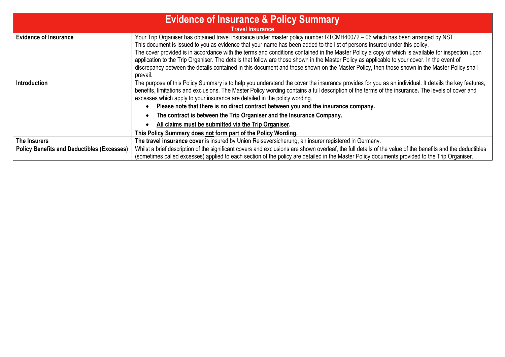| <b>Evidence of Insurance &amp; Policy Summary</b><br><b>Travel Insurance</b> |                                                                                                                                                                                                                                                                                                                                                                                                                                                                                                                                                                                                                                                                                                                             |  |  |  |  |
|------------------------------------------------------------------------------|-----------------------------------------------------------------------------------------------------------------------------------------------------------------------------------------------------------------------------------------------------------------------------------------------------------------------------------------------------------------------------------------------------------------------------------------------------------------------------------------------------------------------------------------------------------------------------------------------------------------------------------------------------------------------------------------------------------------------------|--|--|--|--|
| <b>Evidence of Insurance</b>                                                 | Your Trip Organiser has obtained travel insurance under master policy number RTCMH40072 - 06 which has been arranged by NST.<br>This document is issued to you as evidence that your name has been added to the list of persons insured under this policy.<br>The cover provided is in accordance with the terms and conditions contained in the Master Policy a copy of which is available for inspection upon<br>application to the Trip Organiser. The details that follow are those shown in the Master Policy as applicable to your cover. In the event of<br>discrepancy between the details contained in this document and those shown on the Master Policy, then those shown in the Master Policy shall<br>prevail. |  |  |  |  |
| <b>Introduction</b>                                                          | The purpose of this Policy Summary is to help you understand the cover the insurance provides for you as an individual. It details the key features,<br>benefits, limitations and exclusions. The Master Policy wording contains a full description of the terms of the insurance. The levels of cover and<br>excesses which apply to your insurance are detailed in the policy wording.<br>Please note that there is no direct contract between you and the insurance company.                                                                                                                                                                                                                                             |  |  |  |  |
|                                                                              | The contract is between the Trip Organiser and the Insurance Company.                                                                                                                                                                                                                                                                                                                                                                                                                                                                                                                                                                                                                                                       |  |  |  |  |
|                                                                              | All claims must be submitted via the Trip Organiser.                                                                                                                                                                                                                                                                                                                                                                                                                                                                                                                                                                                                                                                                        |  |  |  |  |
|                                                                              | This Policy Summary does not form part of the Policy Wording.                                                                                                                                                                                                                                                                                                                                                                                                                                                                                                                                                                                                                                                               |  |  |  |  |
| The Insurers                                                                 | The travel insurance cover is insured by Union Reiseversicherung, an insurer registered in Germany.                                                                                                                                                                                                                                                                                                                                                                                                                                                                                                                                                                                                                         |  |  |  |  |
| <b>Policy Benefits and Deductibles (Excesses)</b>                            | Whilst a brief description of the significant covers and exclusions are shown overleaf, the full details of the value of the benefits and the deductibles                                                                                                                                                                                                                                                                                                                                                                                                                                                                                                                                                                   |  |  |  |  |
|                                                                              | (sometimes called excesses) applied to each section of the policy are detailed in the Master Policy documents provided to the Trip Organiser.                                                                                                                                                                                                                                                                                                                                                                                                                                                                                                                                                                               |  |  |  |  |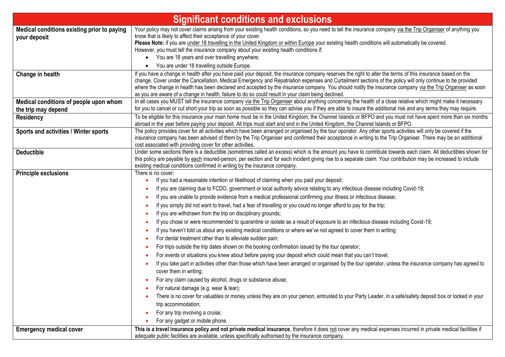| <b>Significant conditions and exclusions</b>                  |                                                                                                                                                                                                                                                                                                                                                                                                                                                                                                                                                                                                                                                                                                                                                                                                                                                                                                                                                                                                                                                                                                                                                                                                                                                                                                                                                                                                                                                                                                                                                                                                                                                |  |  |  |  |
|---------------------------------------------------------------|------------------------------------------------------------------------------------------------------------------------------------------------------------------------------------------------------------------------------------------------------------------------------------------------------------------------------------------------------------------------------------------------------------------------------------------------------------------------------------------------------------------------------------------------------------------------------------------------------------------------------------------------------------------------------------------------------------------------------------------------------------------------------------------------------------------------------------------------------------------------------------------------------------------------------------------------------------------------------------------------------------------------------------------------------------------------------------------------------------------------------------------------------------------------------------------------------------------------------------------------------------------------------------------------------------------------------------------------------------------------------------------------------------------------------------------------------------------------------------------------------------------------------------------------------------------------------------------------------------------------------------------------|--|--|--|--|
| Medical conditions existing prior to paying<br>your deposit   | Your policy may not cover claims arising from your existing health conditions, so you need to tell the insurance company via the Trip Organiser of anything you<br>know that is likely to affect their acceptance of your cover.<br>Please Note: if you are under 18 travelling in the United Kingdom or within Europe your existing health conditions will automatically be covered.<br>However, you must tell the insurance company about your existing health conditions if:<br>• You are 18 years and over travelling anywhere;<br>You are under 18 travelling outside Europe.                                                                                                                                                                                                                                                                                                                                                                                                                                                                                                                                                                                                                                                                                                                                                                                                                                                                                                                                                                                                                                                             |  |  |  |  |
| Change in health                                              | If you have a change in health after you have paid your deposit, the insurance company reserves the right to alter the terms of this insurance based on the<br>change. Cover under the Cancellation, Medical Emergency and Repatriation expenses and Curtailment sections of the policy will only continue to be provided<br>where the change in health has been declared and accepted by the insurance company. You should notify the insurance company via the Trip Organiser as soon<br>as you are aware of a change in health, failure to do so could result in your claim being declined.                                                                                                                                                                                                                                                                                                                                                                                                                                                                                                                                                                                                                                                                                                                                                                                                                                                                                                                                                                                                                                                 |  |  |  |  |
| Medical conditions of people upon whom<br>the trip may depend | In all cases you MUST tell the insurance company via the Trip Organiser about anything concerning the health of a close relative which might make it necessary<br>for you to cancel or cut short your trip as soon as possible so they can advise you if they are able to insure the additional risk and any terms they may require.                                                                                                                                                                                                                                                                                                                                                                                                                                                                                                                                                                                                                                                                                                                                                                                                                                                                                                                                                                                                                                                                                                                                                                                                                                                                                                           |  |  |  |  |
| <b>Residency</b>                                              | To be eligible for this insurance your main home must be in the United Kingdom, the Channel Islands or BFPO and you must not have spent more than six months<br>abroad in the year before paying your deposit. All trips must start and end in the United Kingdom, the Channel Islands or BFPO.                                                                                                                                                                                                                                                                                                                                                                                                                                                                                                                                                                                                                                                                                                                                                                                                                                                                                                                                                                                                                                                                                                                                                                                                                                                                                                                                                |  |  |  |  |
| Sports and activities / Winter sports                         | The policy provides cover for all activities which have been arranged or organised by the tour oporator. Any other sports activities will only be covered if the<br>insurance company has been advised of them by the Trip Organiser and confirmed their acceptance in writing to the Trip Organiser. There may be an additional<br>cost associated with providing cover for other activities.                                                                                                                                                                                                                                                                                                                                                                                                                                                                                                                                                                                                                                                                                                                                                                                                                                                                                                                                                                                                                                                                                                                                                                                                                                                 |  |  |  |  |
| <b>Deductible</b>                                             | Under some sections there is a deductible (sometimes called an excess) which is the amount you have to contribute towards each claim. All deductibles shown for<br>this policy are payable by each insured-person, per section and for each incident giving rise to a separate claim. Your contribution may be increased to include<br>existing medical conditions confirmed in writing by the insurance company.                                                                                                                                                                                                                                                                                                                                                                                                                                                                                                                                                                                                                                                                                                                                                                                                                                                                                                                                                                                                                                                                                                                                                                                                                              |  |  |  |  |
| <b>Principle exclusions</b>                                   | There is no cover:<br>If you had a reasonable intention or likelihood of claiming when you paid your deposit;<br>If you are claiming due to FCDO, government or local authority advice relating to any infectious disease including Covid-19;<br>If you are unable to provide evidence from a medical professional confirming your illness or infectious disease;<br>If you simply did not want to travel, had a fear of travelling or you could no longer afford to pay for the trip;<br>If you are withdrawn from the trip on disciplinary grounds;<br>If you chose or were recommended to quarantine or isolate as a result of exposure to an infectious disease including Covid-19;<br>If you haven't told us about any existing medical conditions or where we've not agreed to cover them in writing;<br>For dental treatment other than to alleviate sudden pain;<br>For trips outside the trip dates shown on the booking confirmation issued by the tour operator;<br>For events or situations you knew about before paying your deposit which could mean that you can't travel;<br>If you take part in activities other than those which have been arranged or organised by the tour operator, unless the insurance company has agreed to<br>cover them in writing;<br>For any claim caused by alcohol, drugs or substance abuse;<br>For natural damage (e.g. wear & tear);<br>There is no cover for valuables or money unless they are on your person, entrusted to your Party Leader, in a safe/safety deposit box or locked in your<br>trip accommodation;<br>For any trip involving a cruise;<br>For any gadget or mobile phone. |  |  |  |  |
| <b>Emergency medical cover</b>                                | This is a travel insurance policy and not private medical insurance, therefore it does not cover any medical expenses incurred in private medical facilities if<br>adequate public facilities are available, unless specifically authorised by the insurance company.                                                                                                                                                                                                                                                                                                                                                                                                                                                                                                                                                                                                                                                                                                                                                                                                                                                                                                                                                                                                                                                                                                                                                                                                                                                                                                                                                                          |  |  |  |  |